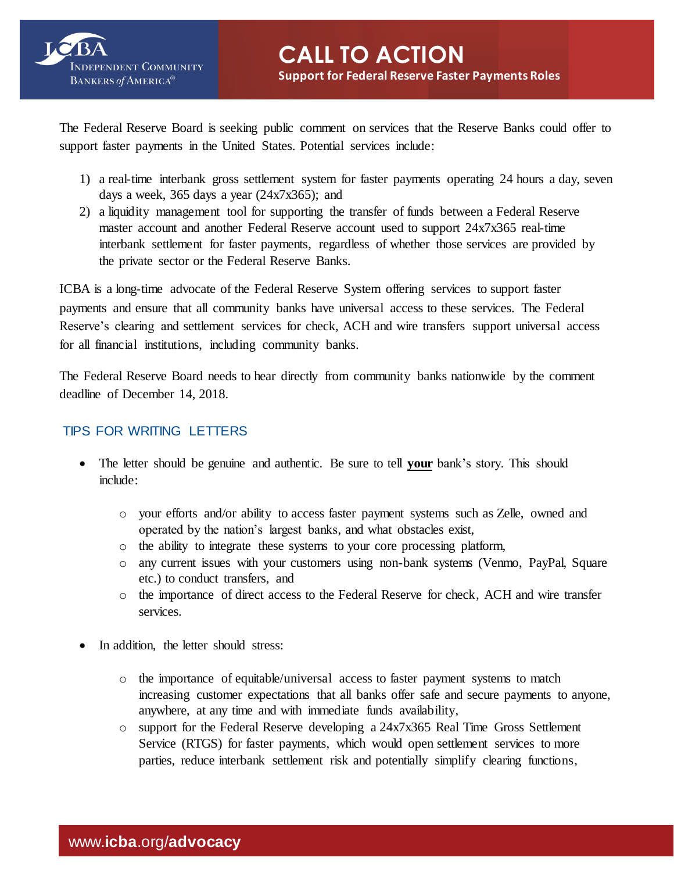

The Federal Reserve Board is seeking public comment on services that the Reserve Banks could offer to support faster payments in the United States. Potential services include:

- 1) a real-time interbank gross settlement system for faster payments operating 24 hours a day, seven days a week,  $365$  days a year  $(24x7x365)$ ; and
- 2) a liquidity management tool for supporting the transfer of funds between a Federal Reserve master account and another Federal Reserve account used to support 24x7x365 real-time interbank settlement for faster payments, regardless of whether those services are provided by the private sector or the Federal Reserve Banks.

ICBA is a long-time advocate of the Federal Reserve System offering services to support faster payments and ensure that all community banks have universal access to these services. The Federal Reserve's clearing and settlement services for check, ACH and wire transfers support universal access for all financial institutions, including community banks.

The Federal Reserve Board needs to hear directly from community banks nationwide by the comment deadline of December 14, 2018.

## TIPS FOR WRITING LETTERS

- The letter should be genuine and authentic. Be sure to tell **your** bank's story. This should include:
	- o your efforts and/or ability to access faster payment systems such as Zelle, owned and operated by the nation's largest banks, and what obstacles exist,
	- o the ability to integrate these systems to your core processing platform,
	- o any current issues with your customers using non-bank systems (Venmo, PayPal, Square etc.) to conduct transfers, and
	- o the importance of direct access to the Federal Reserve for check, ACH and wire transfer services.
- In addition, the letter should stress:
	- o the importance of equitable/universal access to faster payment systems to match increasing customer expectations that all banks offer safe and secure payments to anyone, anywhere, at any time and with immediate funds availability,
	- o support for the Federal Reserve developing a 24x7x365 Real Time Gross Settlement Service (RTGS) for faster payments, which would open settlement services to more parties, reduce interbank settlement risk and potentially simplify clearing functions,